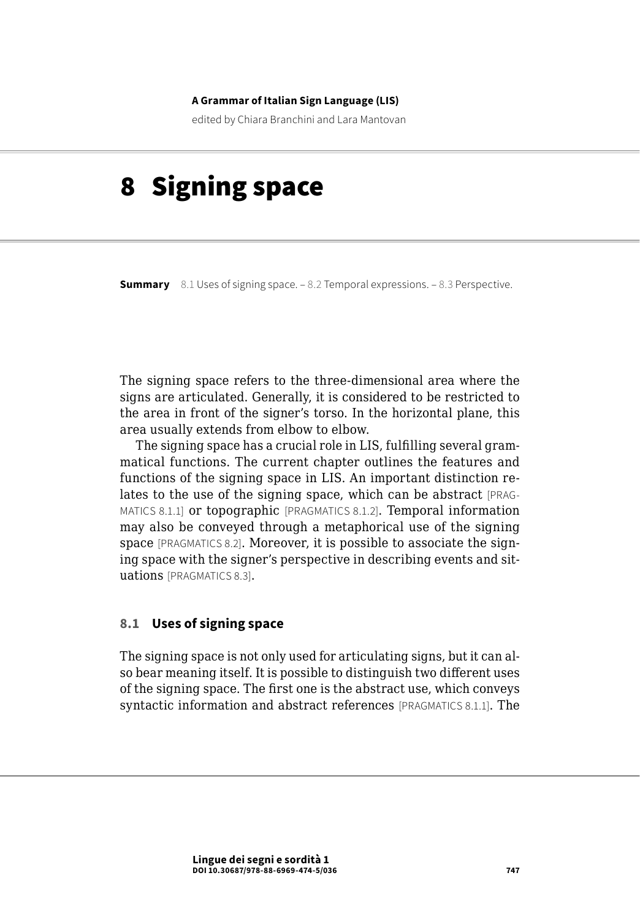#### **A Grammar of Italian Sign Language (LIS)**

edited by Chiara Branchini and Lara Mantovan

# 8 Signing space

**Summary** 8.1 Uses of signing space. – [8.2 Temporal expressions](#page-7-0). – [8.3 Perspective.](#page-9-0)

The signing space refers to the three-dimensional area where the signs are articulated. Generally, it is considered to be restricted to the area in front of the signer's torso. In the horizontal plane, this area usually extends from elbow to elbow.

The signing space has a crucial role in LIS, fulfilling several grammatical functions. The current chapter outlines the features and functions of the signing space in LIS. An important distinction relates to the use of the signing space, which can be abstract [PRAG-MATICS 8.1.1] or topographic [PRAGMATICS 8.1.2]. Temporal information may also be conveyed through a metaphorical use of the signing space [PRAGMATICS 8.2]. Moreover, it is possible to associate the signing space with the signer's perspective in describing events and situations [PRAGMATICS 8.3].

## **8.1 Uses of signing space**

The signing space is not only used for articulating signs, but it can also bear meaning itself. It is possible to distinguish two different uses of the signing space. The first one is the abstract use, which conveys syntactic information and abstract references [PRAGMATICS 8.1.1]. The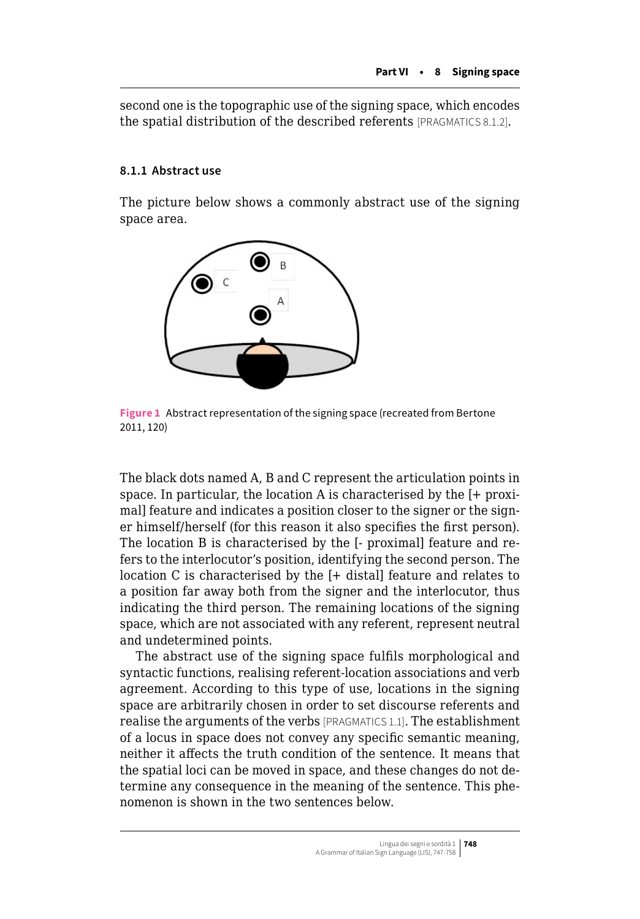second one is the topographic use of the signing space, which encodes the spatial distribution of the described referents [PRAGMATICS 8.1.2].

## **8.1.1 Abstract use**

The picture below shows a commonly abstract use of the signing space area.



**Figure 1** Abstract representation of the signing space (recreated from Bertone 2011, 120)

The black dots named A, B and C represent the articulation points in space. In particular, the location A is characterised by the [+ proximal] feature and indicates a position closer to the signer or the signer himself/herself (for this reason it also specifies the first person). The location B is characterised by the [- proximal] feature and refers to the interlocutor's position, identifying the second person. The location C is characterised by the [+ distal] feature and relates to a position far away both from the signer and the interlocutor, thus indicating the third person. The remaining locations of the signing space, which are not associated with any referent, represent neutral and undetermined points.

The abstract use of the signing space fulfils morphological and syntactic functions, realising referent-location associations and verb agreement. According to this type of use, locations in the signing space are arbitrarily chosen in order to set discourse referents and realise the arguments of the verbs [PRAGMATICS 1.1]. The establishment of a locus in space does not convey any specific semantic meaning, neither it affects the truth condition of the sentence. It means that the spatial loci can be moved in space, and these changes do not determine any consequence in the meaning of the sentence. This phenomenon is shown in the two sentences below.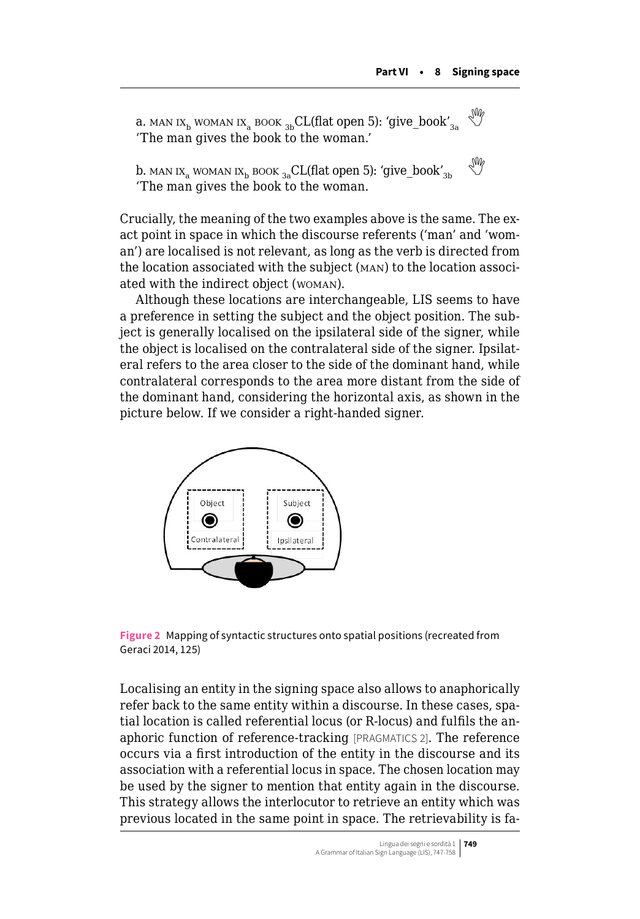a. MAN IX<sub>b</sub> woman ix<sub>a</sub> book <sub>3b</sub>CL(flat open 5): 'give\_book'<sub>3a</sub> 'The man gives the book to the woman.'

b. MAN IX<sub>a</sub> WOMAN IX<sub>b</sub> BOOK <sub>3a</sub>CL(flat open 5): 'give\_book'<sub>3b</sub> 'The man gives the book to the woman.

Crucially, the meaning of the two examples above is the same. The exact point in space in which the discourse referents ('man' and 'woman') are localised is not relevant, as long as the verb is directed from the location associated with the subject (man) to the location associated with the indirect object (woman).

Although these locations are interchangeable, LIS seems to have a preference in setting the subject and the object position. The subject is generally localised on the ipsilateral side of the signer, while the object is localised on the contralateral side of the signer. Ipsilateral refers to the area closer to the side of the dominant hand, while contralateral corresponds to the area more distant from the side of the dominant hand, considering the horizontal axis, as shown in the picture below. If we consider a right-handed signer.



**Figure 2** Mapping of syntactic structures onto spatial positions (recreated from Geraci 2014, 125)

Localising an entity in the signing space also allows to anaphorically refer back to the same entity within a discourse. In these cases, spatial location is called referential locus (or R-locus) and fulfils the anaphoric function of reference-tracking [PRAGMATICS 2]. The reference occurs via a first introduction of the entity in the discourse and its association with a referential locus in space. The chosen location may be used by the signer to mention that entity again in the discourse. This strategy allows the interlocutor to retrieve an entity which was previous located in the same point in space. The retrievability is fa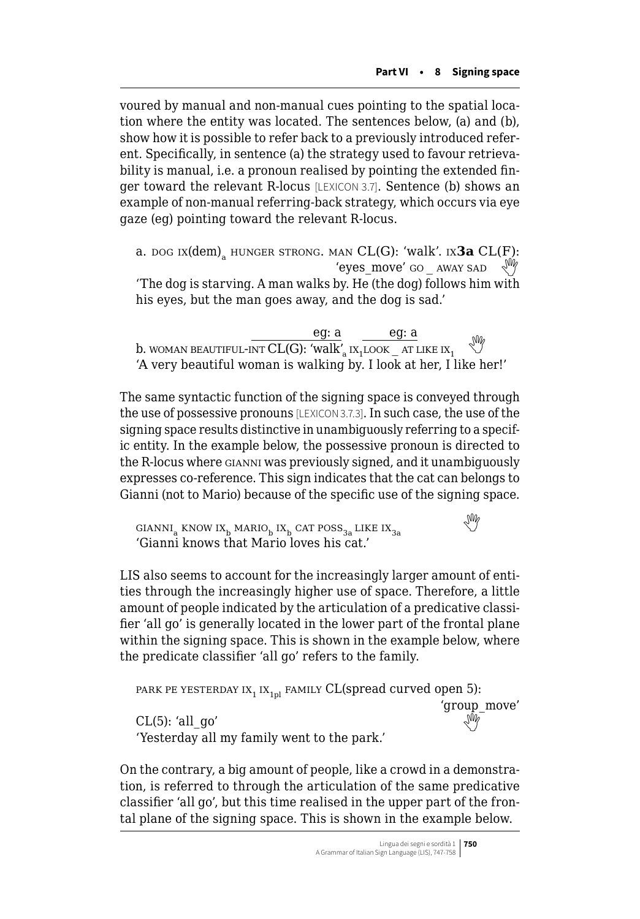voured by manual and non-manual cues pointing to the spatial location where the entity was located. The sentences below, (a) and (b), show how it is possible to refer back to a previously introduced referent. Specifically, in sentence (a) the strategy used to favour retrievability is manual, i.e. a pronoun realised by pointing the extended finger toward the relevant R-locus [LEXICON 3.7]. Sentence (b) shows an example of non-manual referring-back strategy, which occurs via eye gaze (eg) pointing toward the relevant R-locus.

a. dog ix(dem)<sub>a</sub> hunger strong. Man CL(G): 'walk'. ix**3a** CL(F):<br>
'eyes move' go away sad  $\sqrt{W}$ 'The dog is starving. A man walks by. He (the dog) follows him with his eyes, but the man goes away, and the dog is sad.'

eg: a eg: a b. WOMAN BEAUTIFUL-INT  $CL(G)$ : 'walk'<sub>a</sub> ix<sub>1</sub>LOOK \_ AT LIKE IX<sub>1</sub> 'A very beautiful woman is walking by. I look at her, I like her!'

The same syntactic function of the signing space is conveyed through the use of possessive pronouns [LEXICON 3.7.3]. In such case, the use of the signing space results distinctive in unambiguously referring to a specific entity. In the example below, the possessive pronoun is directed to the R-locus where gianni was previously signed, and it unambiguously expresses co-reference. This sign indicates that the cat can belongs to Gianni (not to Mario) because of the specific use of the signing space.

GIANNI<sub>a</sub>KNOW IX<sub>b</sub> MARIO<sub>b</sub> IX<sub>b</sub> CAT POSS<sub>3a</sub> LIKE IX<sub>3a</sub> 'Gianni knows that Mario loves his cat.'

LIS also seems to account for the increasingly larger amount of entities through the increasingly higher use of space. Therefore, a little amount of people indicated by the articulation of a predicative classifier 'all go' is generally located in the lower part of the frontal plane within the signing space. This is shown in the example below, where the predicate classifier 'all go' refers to the family.

PARK PE YESTERDAY IX<sub>1</sub> IX<sub>1pl</sub> FAMILY CL(spread curved open 5): 'group\_move' CL(5): 'all\_go' 'Yesterday all my family went to the park.'

On the contrary, a big amount of people, like a crowd in a demonstration, is referred to through the articulation of the same predicative classifier 'all go', but this time realised in the upper part of the frontal plane of the signing space. This is shown in the example below.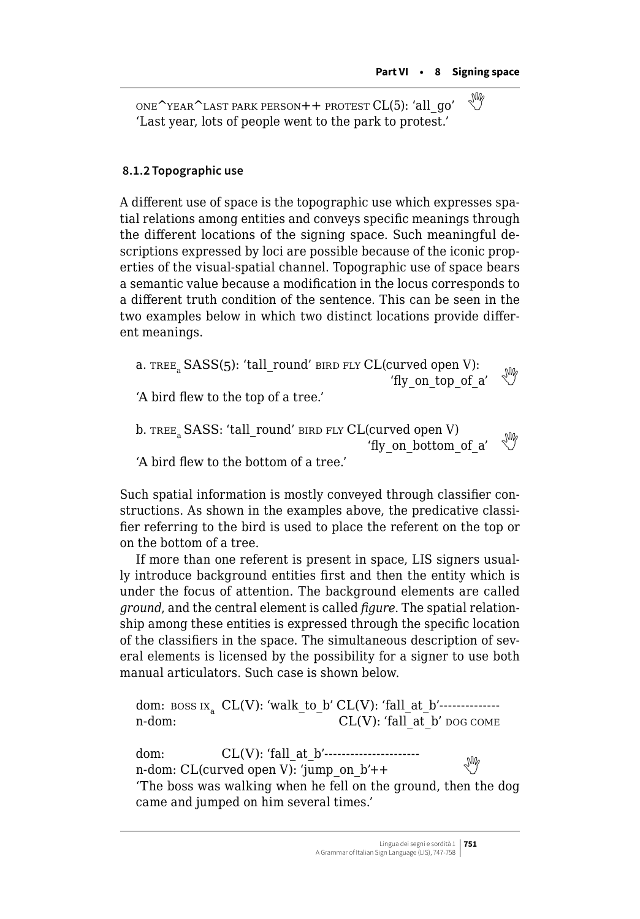ONE<sup>^</sup>YEAR<sup>^</sup>LAST PARK PERSON++ PROTEST CL(5): 'all\_qo' 'Last year, lots of people went to the park to protest.'

### **8.1.2 Topographic use**

A different use of space is the topographic use which expresses spatial relations among entities and conveys specific meanings through the different locations of the signing space. Such meaningful descriptions expressed by loci are possible because of the iconic properties of the visual-spatial channel. Topographic use of space bears a semantic value because a modification in the locus corresponds to a different truth condition of the sentence. This can be seen in the two examples below in which two distinct locations provide different meanings.

a. TREE,  $SASS(5)$ : 'tall round' bird fly CL(curved open V): The vect open v).<br>
The vector of a'  $\mathbb{W}$ 'A bird flew to the top of a tree.' b. TREE<sub>2</sub> SASS: 'tall\_round' bird fly CL(curved open V)  $'$ fly on bottom of a'

'A bird flew to the bottom of a tree.'

Such spatial information is mostly conveyed through classifier constructions. As shown in the examples above, the predicative classifier referring to the bird is used to place the referent on the top or on the bottom of a tree.

If more than one referent is present in space, LIS signers usually introduce background entities first and then the entity which is under the focus of attention. The background elements are called *ground*, and the central element is called *figure*. The spatial relationship among these entities is expressed through the specific location of the classifiers in the space. The simultaneous description of several elements is licensed by the possibility for a signer to use both manual articulators. Such case is shown below.

dom: boss ix<sup>a</sup> CL(V): 'walk\_to\_b' CL(V): 'fall\_at\_b'--------------  $CL(V)$ : 'fall at b' dog come

dom: CL(V): 'fall\_at\_b'---------------------  $n$ -dom:CL(curved open V): 'jump\_on\_b'++  $\mathbb{W}$ 'The boss was walking when he fell on the ground, then the dog came and jumped on him several times.'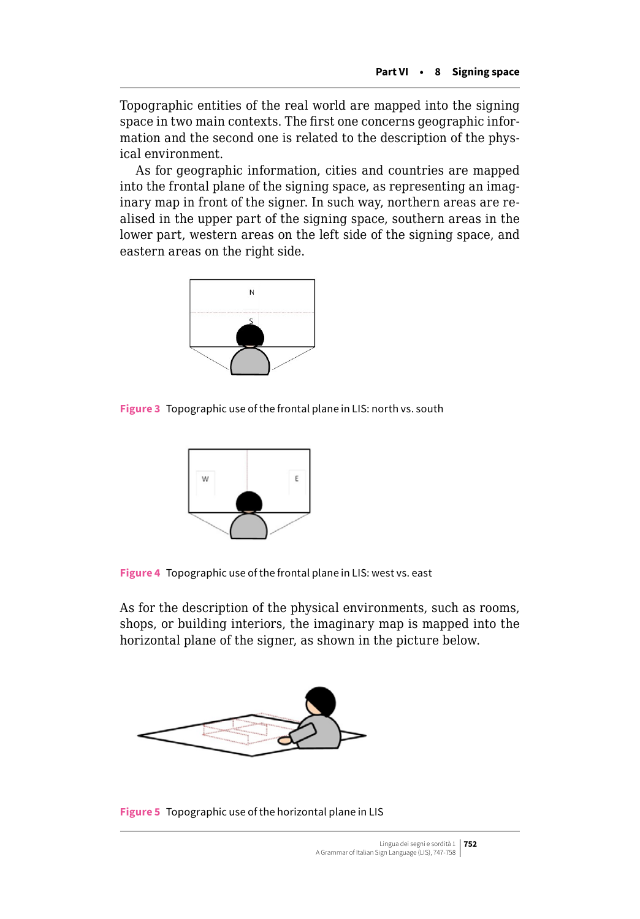Topographic entities of the real world are mapped into the signing space in two main contexts. The first one concerns geographic information and the second one is related to the description of the physical environment.

As for geographic information, cities and countries are mapped into the frontal plane of the signing space, as representing an imaginary map in front of the signer. In such way, northern areas are realised in the upper part of the signing space, southern areas in the lower part, western areas on the left side of the signing space, and eastern areas on the right side.



**Figure 3** Topographic use of the frontal plane in LIS: north vs. south



**Figure 4** Topographic use of the frontal plane in LIS: west vs. east

As for the description of the physical environments, such as rooms, shops, or building interiors, the imaginary map is mapped into the horizontal plane of the signer, as shown in the picture below.



**Figure 5** Topographic use of the horizontal plane in LIS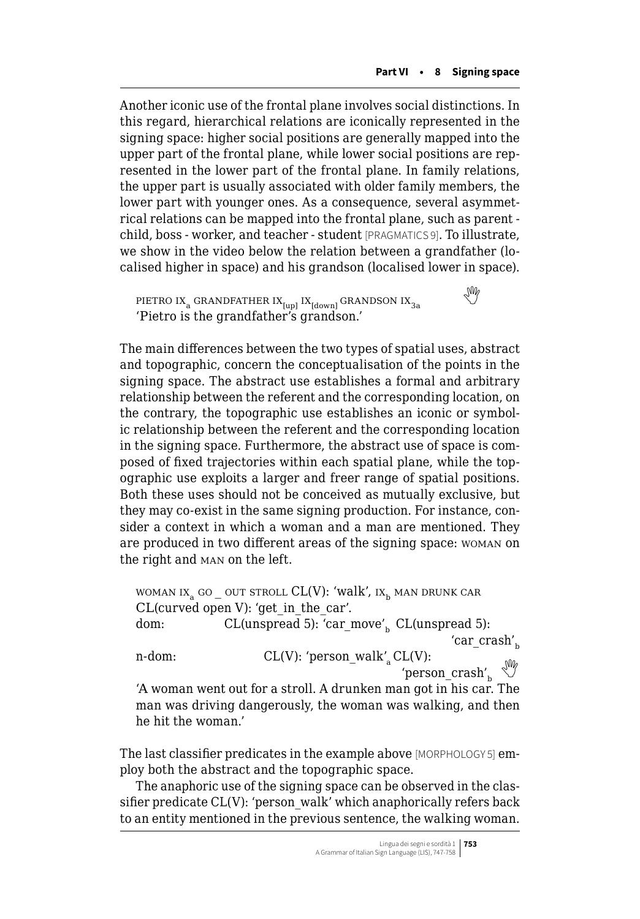Another iconic use of the frontal plane involves social distinctions. In this regard, hierarchical relations are iconically represented in the signing space: higher social positions are generally mapped into the upper part of the frontal plane, while lower social positions are represented in the lower part of the frontal plane. In family relations, the upper part is usually associated with older family members, the lower part with younger ones. As a consequence, several asymmetrical relations can be mapped into the frontal plane, such as parent child, boss - worker, and teacher - student [PRAGMATICS 9]. To illustrate, we show in the video below the relation between a grandfather (localised higher in space) and his grandson (localised lower in space).

PIETROIX<sub>a</sub> GRANDFATHER IX<sub>[up]</sub> IX<sub>[down]</sub> GRANDSON IX<sub>3a</sub> 'Pietro is the grandfather's grandson.'

The main differences between the two types of spatial uses, abstract and topographic, concern the conceptualisation of the points in the signing space. The abstract use establishes a formal and arbitrary relationship between the referent and the corresponding location, on the contrary, the topographic use establishes an iconic or symbolic relationship between the referent and the corresponding location in the signing space. Furthermore, the abstract use of space is composed of fixed trajectories within each spatial plane, while the topographic use exploits a larger and freer range of spatial positions. Both these uses should not be conceived as mutually exclusive, but they may co-exist in the same signing production. For instance, consider a context in which a woman and a man are mentioned. They are produced in two different areas of the signing space: woman on the right and man on the left.

WOMAN IX<sub>2</sub> GO OUT STROLL  $CL(V)$ : 'walk',  $IX_{k}$  man drunk car CL(curved open V): 'get\_in\_the\_car'. dom:  $CL(unspread 5): 'car_move'_{b} CL(unspread 5):$ 'car $crash'_b$ n-dom: CL(V): 'person\_walk'<sub>a</sub> CL(V): 'person  $crash'_b$ 'A woman went out for a stroll. A drunken man got in his car. The man was driving dangerously, the woman was walking, and then

The last classifier predicates in the example above [MORPHOLOGY 5] employ both the abstract and the topographic space.

he hit the woman.'

The anaphoric use of the signing space can be observed in the classifier predicate CL(V): 'person\_walk' which anaphorically refers back to an entity mentioned in the previous sentence, the walking woman.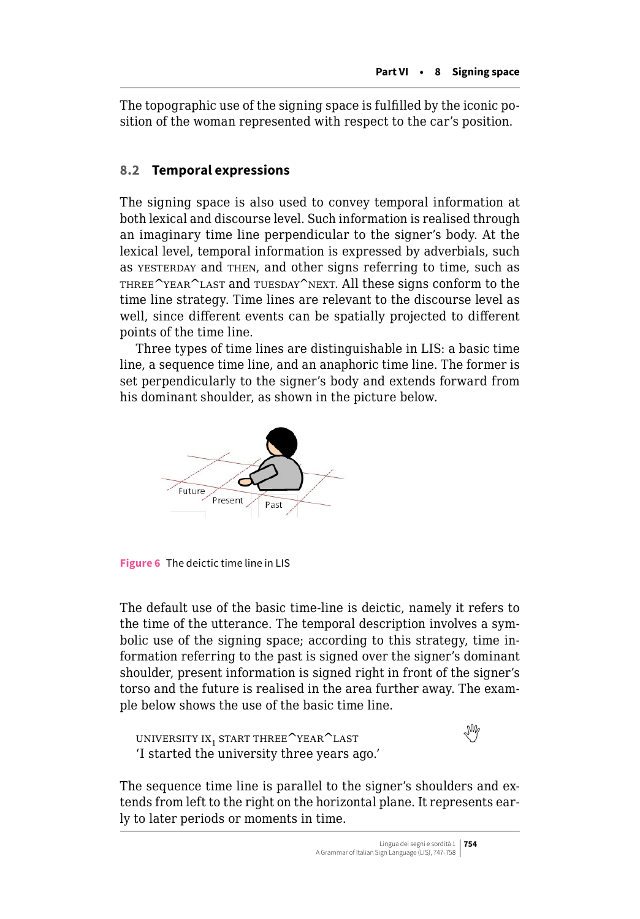<span id="page-7-0"></span>The topographic use of the signing space is fulfilled by the iconic position of the woman represented with respect to the car's position.

# **8.2 Temporal expressions**

The signing space is also used to convey temporal information at both lexical and discourse level. Such information is realised through an imaginary time line perpendicular to the signer's body. At the lexical level, temporal information is expressed by adverbials, such as yesterday and then, and other signs referring to time, such as THREE<sup>^</sup>YEAR<sup>^</sup>LAST and TUESDAY<sup>^</sup>NEXT. All these signs conform to the time line strategy. Time lines are relevant to the discourse level as well, since different events can be spatially projected to different points of the time line.

Three types of time lines are distinguishable in LIS: a basic time line, a sequence time line, and an anaphoric time line. The former is set perpendicularly to the signer's body and extends forward from his dominant shoulder, as shown in the picture below.



**Figure 6** The deictic time line in LIS

The default use of the basic time-line is deictic, namely it refers to the time of the utterance. The temporal description involves a symbolic use of the signing space; according to this strategy, time information referring to the past is signed over the signer's dominant shoulder, present information is signed right in front of the signer's torso and the future is realised in the area further away. The example below shows the use of the basic time line.

```
 ix<sub>1</sub> start three<sup>\sim</sup>year\simlast
'I started the university three years ago.'
```


The sequence time line is parallel to the signer's shoulders and extends from left to the right on the horizontal plane. It represents early to later periods or moments in time.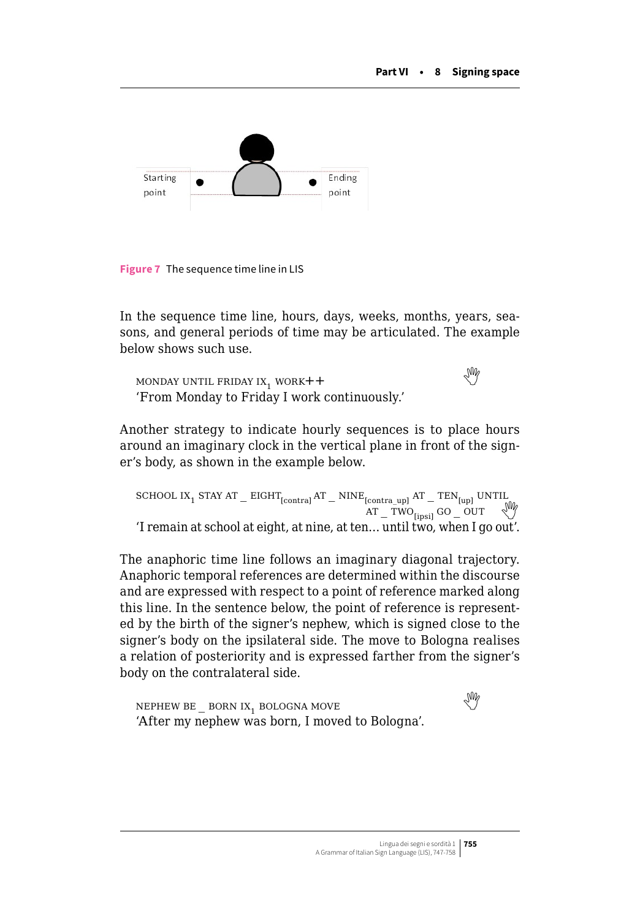

**Figure 7** The sequence time line in LIS

In the sequence time line, hours, days, weeks, months, years, seasons, and general periods of time may be articulated. The example below shows such use.

MONDAYUNTIL FRIDAY IX, WORK++ 'From Monday to Friday I work continuously.'

Another strategy to indicate hourly sequences is to place hours around an imaginary clock in the vertical plane in front of the signer's body, as shown in the example below.

 $\begin{array}{l} \mbox{SCHOOL IX}_1 \; \mbox{STAY AT} \; \displaystyle \equiv \; \mbox{EIGHT}_{\text{[contra]}} \, \mbox{AT} \; \displaystyle \equiv \; \mbox{NINE}_{\text{[contra\_up]}} \; \mbox{AT} \; \displaystyle \equiv \; \mbox{TEN}_{\text{[up]}} \; \mbox{UNTL} \\ \mbox{AT} \; \displaystyle \equiv \; \mbox{TWO}_{\text{[insi]}} \; \mbox{GO} \; \; \displaystyle \sup_{\mbox{V}} \; \; \displaystyle \bigvee_{\mbox{V}} \; \displaystyle \bigwedge_{\mbox{V}} \; \displaystyle \bigw$ 'I remain at school at eight, at nine, at ten... until two, when I go out'.

The anaphoric time line follows an imaginary diagonal trajectory. Anaphoric temporal references are determined within the discourse and are expressed with respect to a point of reference marked along this line. In the sentence below, the point of reference is represented by the birth of the signer's nephew, which is signed close to the signer's body on the ipsilateral side. The move to Bologna realises a relation of posteriority and is expressed farther from the signer's body on the contralateral side.

```
 BE _ BORN IX<sub>1</sub> BOLOGNA MOVE
'After my nephew was born, I moved to Bologna'.
```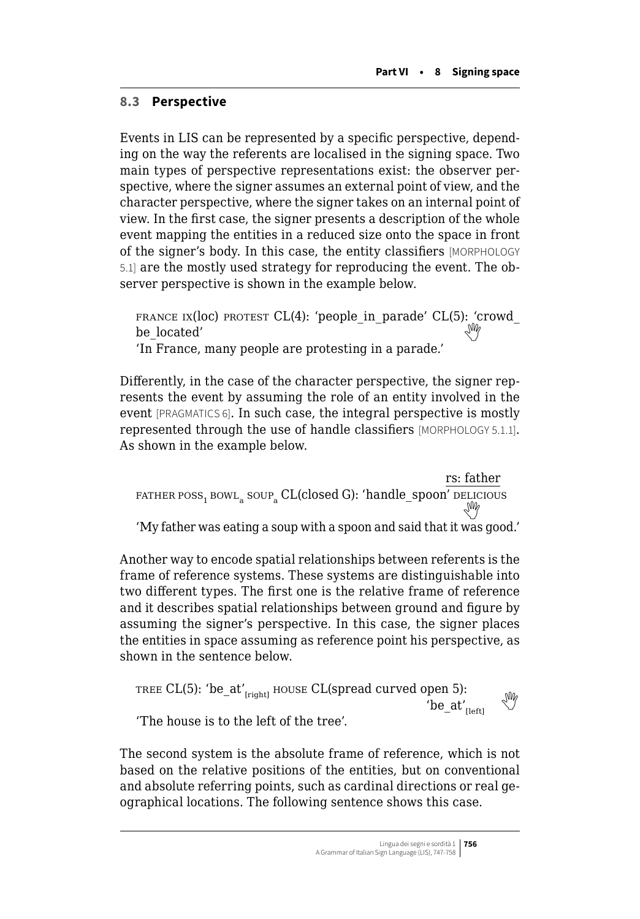# <span id="page-9-0"></span>**8.3 Perspective**

Events in LIS can be represented by a specific perspective, depending on the way the referents are localised in the signing space. Two main types of perspective representations exist: the observer perspective, where the signer assumes an external point of view, and the character perspective, where the signer takes on an internal point of view. In the first case, the signer presents a description of the whole event mapping the entities in a reduced size onto the space in front of the signer's body. In this case, the entity classifiers [MORPHOLOGY 5.1] are the mostly used strategy for reproducing the event. The observer perspective is shown in the example below.

FRANCE IX( $loc$ ) protest CL(4): 'people in parade' CL(5): 'crowd be\_located' 'In France, many people are protesting in a parade.'

Differently, in the case of the character perspective, the signer represents the event by assuming the role of an entity involved in the event [PRAGMATICS 6]. In such case, the integral perspective is mostly represented through the use of handle classifiers [MORPHOLOGY 5.1.1]. As shown in the example below.

rs: father  $F$ ATHER POSS<sub>1</sub> BOWL<sub>a</sub> SOUP<sub>a</sub> CL(closed G): 'handle\_spoon' delicious 'My father was eating a soup with a spoon and said that it was good.'

Another way to encode spatial relationships between referents is the frame of reference systems. These systems are distinguishable into two different types. The first one is the relative frame of reference and it describes spatial relationships between ground and figure by assuming the signer's perspective. In this case, the signer places the entities in space assuming as reference point his perspective, as shown in the sentence below.

```
TREE CL(5): 'be_at'<sub>[right]</sub> HOUSE CL(spread curved open 5):
                                                                                 \begin{matrix} \text{open } 5 \text{,} \\ \text{be\_at'} \end{matrix}'The house is to the left of the tree'.
```
The second system is the absolute frame of reference, which is not based on the relative positions of the entities, but on conventional and absolute referring points, such as cardinal directions or real geographical locations. The following sentence shows this case.